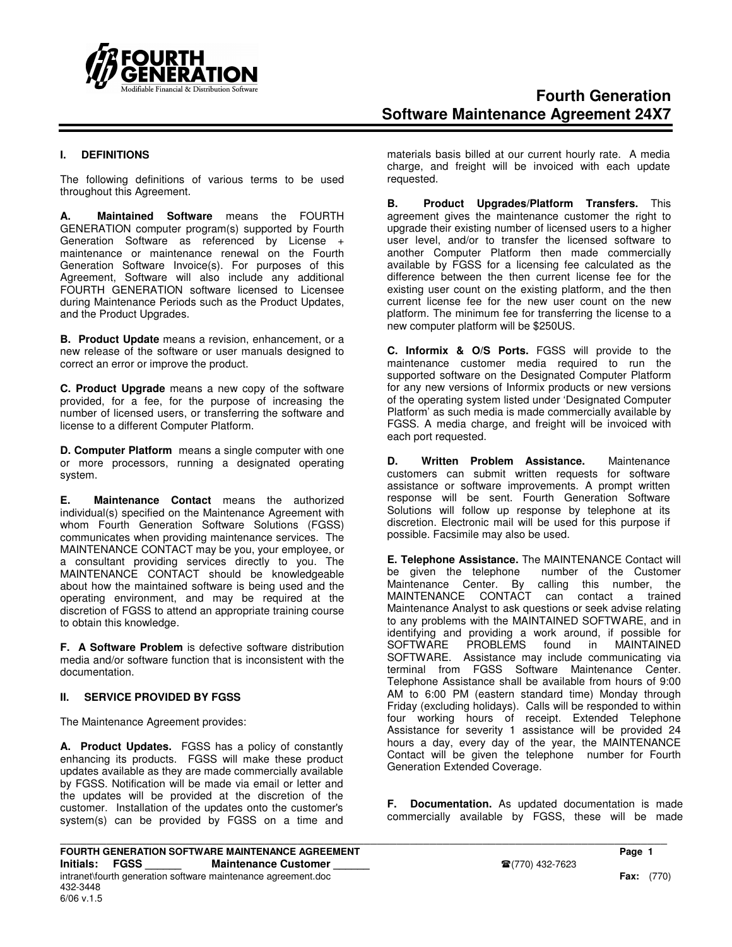

#### **I. DEFINITIONS**

The following definitions of various terms to be used throughout this Agreement.

**A. Maintained Software** means the FOURTH GENERATION computer program(s) supported by Fourth Generation Software as referenced by License + maintenance or maintenance renewal on the Fourth Generation Software Invoice(s). For purposes of this Agreement, Software will also include any additional FOURTH GENERATION software licensed to Licensee during Maintenance Periods such as the Product Updates, and the Product Upgrades.

**B. Product Update** means a revision, enhancement, or a new release of the software or user manuals designed to correct an error or improve the product.

**C. Product Upgrade** means a new copy of the software provided, for a fee, for the purpose of increasing the number of licensed users, or transferring the software and license to a different Computer Platform.

**D. Computer Platform** means a single computer with one or more processors, running a designated operating system.

**E. Maintenance Contact** means the authorized individual(s) specified on the Maintenance Agreement with whom Fourth Generation Software Solutions (FGSS) communicates when providing maintenance services. The MAINTENANCE CONTACT may be you, your employee, or a consultant providing services directly to you. The MAINTENANCE CONTACT should be knowledgeable about how the maintained software is being used and the operating environment, and may be required at the discretion of FGSS to attend an appropriate training course to obtain this knowledge.

**F. A Software Problem** is defective software distribution media and/or software function that is inconsistent with the documentation.

#### **II. SERVICE PROVIDED BY FGSS**

The Maintenance Agreement provides:

**A. Product Updates.** FGSS has a policy of constantly enhancing its products. FGSS will make these product updates available as they are made commercially available by FGSS. Notification will be made via email or letter and the updates will be provided at the discretion of the customer. Installation of the updates onto the customer's system(s) can be provided by FGSS on a time and

materials basis billed at our current hourly rate. A media charge, and freight will be invoiced with each update requested.

**B. Product Upgrades/Platform Transfers.** This agreement gives the maintenance customer the right to upgrade their existing number of licensed users to a higher user level, and/or to transfer the licensed software to another Computer Platform then made commercially available by FGSS for a licensing fee calculated as the difference between the then current license fee for the existing user count on the existing platform, and the then current license fee for the new user count on the new platform. The minimum fee for transferring the license to a new computer platform will be \$250US.

**C. Informix & O/S Ports.** FGSS will provide to the maintenance customer media required to run the supported software on the Designated Computer Platform for any new versions of Informix products or new versions of the operating system listed under 'Designated Computer Platform' as such media is made commercially available by FGSS. A media charge, and freight will be invoiced with each port requested.

**D. Written Problem Assistance.** Maintenance customers can submit written requests for software assistance or software improvements. A prompt written response will be sent. Fourth Generation Software Solutions will follow up response by telephone at its discretion. Electronic mail will be used for this purpose if possible. Facsimile may also be used.

**E. Telephone Assistance.** The MAINTENANCE Contact will be given the telephone Maintenance Center. By calling this number, the CONTACT can contact a trained Maintenance Analyst to ask questions or seek advise relating to any problems with the MAINTAINED SOFTWARE, and in identifying and providing a work around, if possible for MAINTAINED SOFTWARE. Assistance may include communicating via terminal from FGSS Software Maintenance Center. Telephone Assistance shall be available from hours of 9:00 AM to 6:00 PM (eastern standard time) Monday through Friday (excluding holidays). Calls will be responded to within four working hours of receipt. Extended Telephone Assistance for severity 1 assistance will be provided 24 hours a day, every day of the year, the MAINTENANCE Contact will be given the telephone number for Fourth Generation Extended Coverage.

**F. Documentation.** As updated documentation is made commercially available by FGSS, these will be made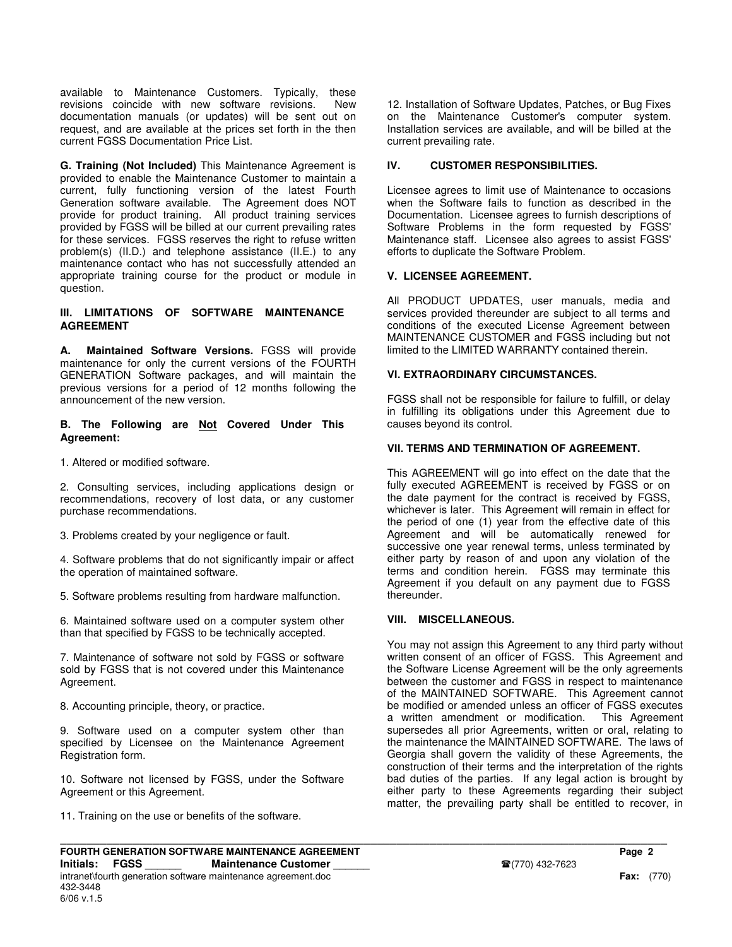available to Maintenance Customers. Typically, these revisions coincide with new software revisions. New documentation manuals (or updates) will be sent out on request, and are available at the prices set forth in the then current FGSS Documentation Price List.

**G. Training (Not Included)** This Maintenance Agreement is provided to enable the Maintenance Customer to maintain a current, fully functioning version of the latest Fourth Generation software available. The Agreement does NOT provide for product training. All product training services provided by FGSS will be billed at our current prevailing rates for these services. FGSS reserves the right to refuse written problem(s) (II.D.) and telephone assistance (II.E.) to any maintenance contact who has not successfully attended an appropriate training course for the product or module in question.

#### **III. LIMITATIONS OF SOFTWARE MAINTENANCE AGREEMENT**

**A. Maintained Software Versions.** FGSS will provide maintenance for only the current versions of the FOURTH GENERATION Software packages, and will maintain the previous versions for a period of 12 months following the announcement of the new version.

#### **B. The Following are Not Covered Under This Agreement:**

1. Altered or modified software.

2. Consulting services, including applications design or recommendations, recovery of lost data, or any customer purchase recommendations.

3. Problems created by your negligence or fault.

4. Software problems that do not significantly impair or affect the operation of maintained software.

5. Software problems resulting from hardware malfunction.

6. Maintained software used on a computer system other than that specified by FGSS to be technically accepted.

7. Maintenance of software not sold by FGSS or software sold by FGSS that is not covered under this Maintenance Agreement.

8. Accounting principle, theory, or practice.

9. Software used on a computer system other than specified by Licensee on the Maintenance Agreement Registration form.

10. Software not licensed by FGSS, under the Software Agreement or this Agreement.

11. Training on the use or benefits of the software.

# **IV. CUSTOMER RESPONSIBILITIES.**

Licensee agrees to limit use of Maintenance to occasions when the Software fails to function as described in the Documentation. Licensee agrees to furnish descriptions of Software Problems in the form requested by FGSS' Maintenance staff. Licensee also agrees to assist FGSS' efforts to duplicate the Software Problem.

# **V. LICENSEE AGREEMENT.**

All PRODUCT UPDATES, user manuals, media and services provided thereunder are subject to all terms and conditions of the executed License Agreement between MAINTENANCE CUSTOMER and FGSS including but not limited to the LIMITED WARRANTY contained therein.

# **VI. EXTRAORDINARY CIRCUMSTANCES.**

FGSS shall not be responsible for failure to fulfill, or delay in fulfilling its obligations under this Agreement due to causes beyond its control.

# **VII. TERMS AND TERMINATION OF AGREEMENT.**

This AGREEMENT will go into effect on the date that the fully executed AGREEMENT is received by FGSS or on the date payment for the contract is received by FGSS, whichever is later. This Agreement will remain in effect for the period of one (1) year from the effective date of this Agreement and will be automatically renewed for successive one year renewal terms, unless terminated by either party by reason of and upon any violation of the terms and condition herein. FGSS may terminate this Agreement if you default on any payment due to FGSS thereunder.

#### **VIII. MISCELLANEOUS.**

**\_\_\_\_\_\_\_\_\_\_\_\_\_\_\_\_\_\_\_\_\_\_\_\_\_\_\_\_\_\_\_\_\_\_\_\_\_\_\_\_\_\_\_\_\_\_\_\_\_\_\_\_\_\_\_\_\_\_\_\_\_\_\_\_\_\_\_\_\_\_\_\_\_\_\_\_\_\_\_\_\_\_\_\_\_\_\_\_\_\_\_\_**

You may not assign this Agreement to any third party without written consent of an officer of FGSS. This Agreement and the Software License Agreement will be the only agreements between the customer and FGSS in respect to maintenance of the MAINTAINED SOFTWARE. This Agreement cannot be modified or amended unless an officer of FGSS executes a written amendment or modification. This Agreement supersedes all prior Agreements, written or oral, relating to the maintenance the MAINTAINED SOFTWARE. The laws of Georgia shall govern the validity of these Agreements, the construction of their terms and the interpretation of the rights bad duties of the parties. If any legal action is brought by either party to these Agreements regarding their subject matter, the prevailing party shall be entitled to recover, in